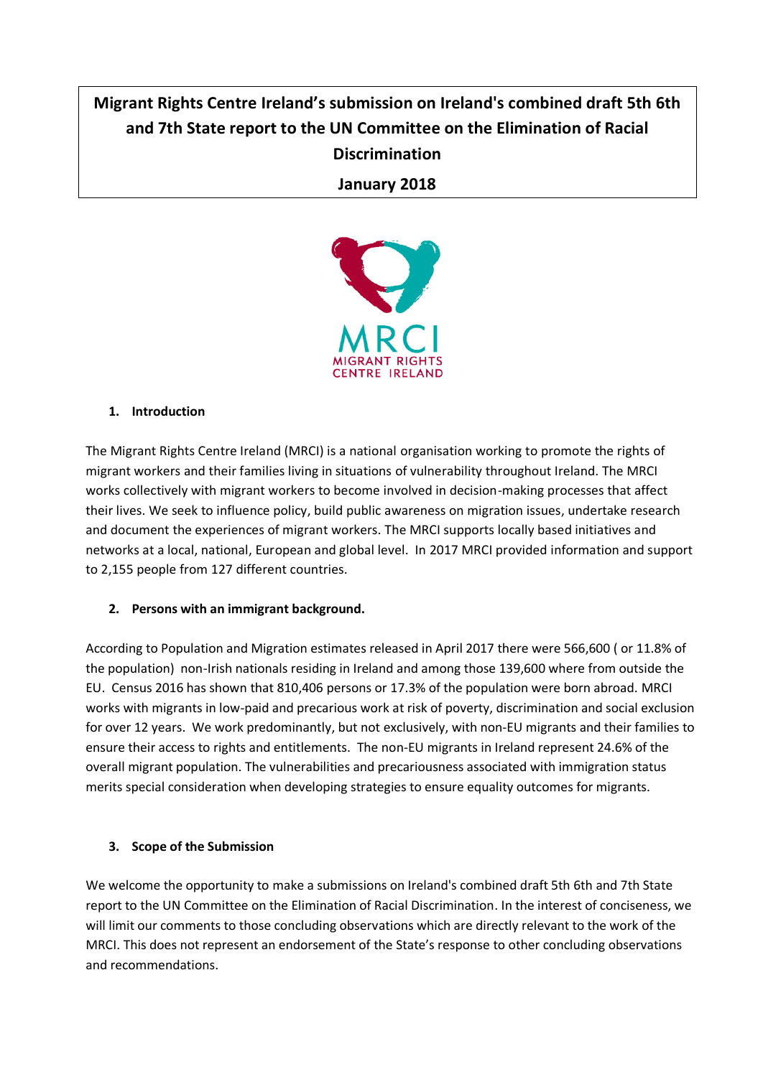# **Migrant Rights Centre Ireland's submission on Ireland's combined draft 5th 6th and 7th State report to the UN Committee on the Elimination of Racial Discrimination**

## **January 2018**



### **1. Introduction**

The Migrant Rights Centre Ireland (MRCI) is a national organisation working to promote the rights of migrant workers and their families living in situations of vulnerability throughout Ireland. The MRCI works collectively with migrant workers to become involved in decision-making processes that affect their lives. We seek to influence policy, build public awareness on migration issues, undertake research and document the experiences of migrant workers. The MRCI supports locally based initiatives and networks at a local, national, European and global level. In 2017 MRCI provided information and support to 2,155 people from 127 different countries.

### **2. Persons with an immigrant background.**

According to Population and Migration estimates released in April 2017 there were 566,600 ( or 11.8% of the population) non-Irish nationals residing in Ireland and among those 139,600 where from outside the EU. Census 2016 has shown that 810,406 persons or 17.3% of the population were born abroad. MRCI works with migrants in low-paid and precarious work at risk of poverty, discrimination and social exclusion for over 12 years. We work predominantly, but not exclusively, with non-EU migrants and their families to ensure their access to rights and entitlements. The non-EU migrants in Ireland represent 24.6% of the overall migrant population. The vulnerabilities and precariousness associated with immigration status merits special consideration when developing strategies to ensure equality outcomes for migrants.

### **3. Scope of the Submission**

We welcome the opportunity to make a submissions on Ireland's combined draft 5th 6th and 7th State report to the UN Committee on the Elimination of Racial Discrimination. In the interest of conciseness, we will limit our comments to those concluding observations which are directly relevant to the work of the MRCI. This does not represent an endorsement of the State's response to other concluding observations and recommendations.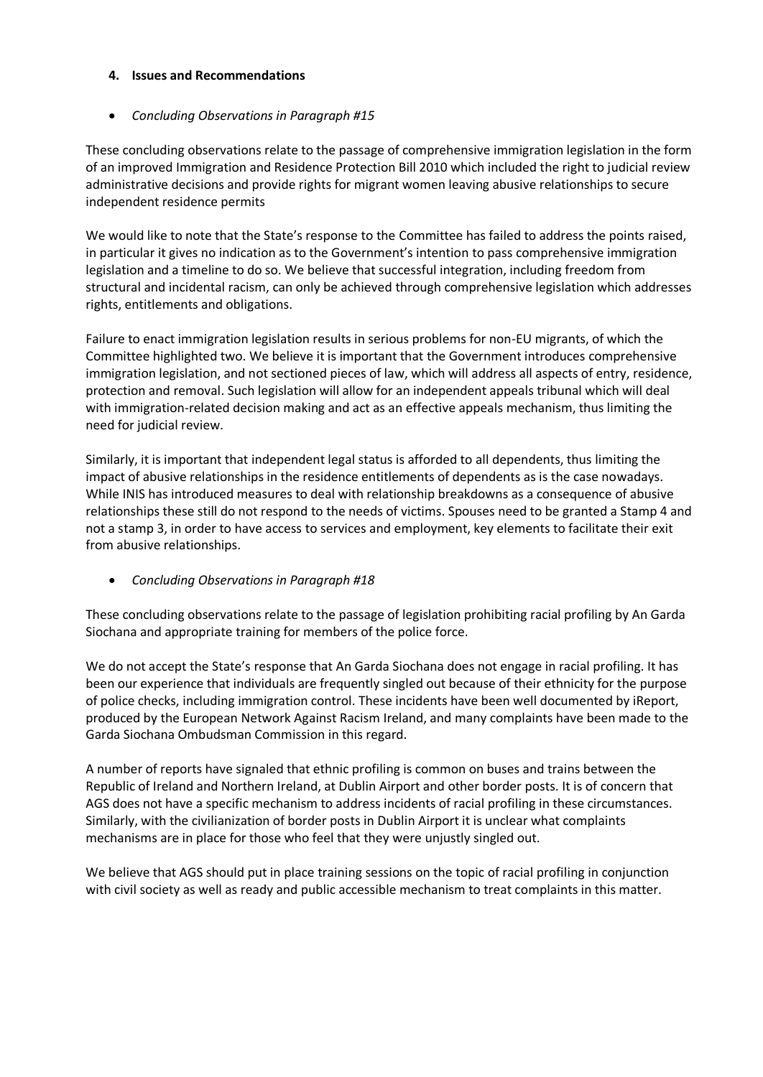#### **4. Issues and Recommendations**

### • *Concluding Observations in Paragraph #15*

These concluding observations relate to the passage of comprehensive immigration legislation in the form of an improved Immigration and Residence Protection Bill 2010 which included the right to judicial review administrative decisions and provide rights for migrant women leaving abusive relationships to secure independent residence permits

We would like to note that the State's response to the Committee has failed to address the points raised, in particular it gives no indication as to the Government's intention to pass comprehensive immigration legislation and a timeline to do so. We believe that successful integration, including freedom from structural and incidental racism, can only be achieved through comprehensive legislation which addresses rights, entitlements and obligations.

Failure to enact immigration legislation results in serious problems for non-EU migrants, of which the Committee highlighted two. We believe it is important that the Government introduces comprehensive immigration legislation, and not sectioned pieces of law, which will address all aspects of entry, residence, protection and removal. Such legislation will allow for an independent appeals tribunal which will deal with immigration-related decision making and act as an effective appeals mechanism, thus limiting the need for judicial review.

Similarly, it is important that independent legal status is afforded to all dependents, thus limiting the impact of abusive relationships in the residence entitlements of dependents as is the case nowadays. While INIS has introduced measures to deal with relationship breakdowns as a consequence of abusive relationships these still do not respond to the needs of victims. Spouses need to be granted a Stamp 4 and not a stamp 3, in order to have access to services and employment, key elements to facilitate their exit from abusive relationships.

• *Concluding Observations in Paragraph #18*

These concluding observations relate to the passage of legislation prohibiting racial profiling by An Garda Siochana and appropriate training for members of the police force.

We do not accept the State's response that An Garda Siochana does not engage in racial profiling. It has been our experience that individuals are frequently singled out because of their ethnicity for the purpose of police checks, including immigration control. These incidents have been well documented by iReport, produced by the European Network Against Racism Ireland, and many complaints have been made to the Garda Siochana Ombudsman Commission in this regard.

A number of reports have signaled that ethnic profiling is common on buses and trains between the Republic of Ireland and Northern Ireland, at Dublin Airport and other border posts. It is of concern that AGS does not have a specific mechanism to address incidents of racial profiling in these circumstances. Similarly, with the civilianization of border posts in Dublin Airport it is unclear what complaints mechanisms are in place for those who feel that they were unjustly singled out.

We believe that AGS should put in place training sessions on the topic of racial profiling in conjunction with civil society as well as ready and public accessible mechanism to treat complaints in this matter.